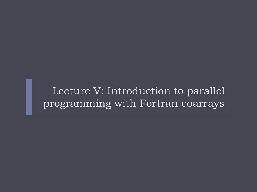Lecture V: Introduction to parallel programming with Fortran coarrays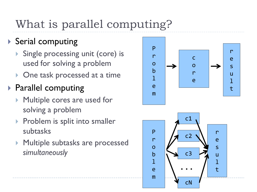# What is parallel computing ?

#### ▶ Serial computing

- Single processing unit (core) is used for solving a problem
- **One task processed at a time**

#### ▶ Parallel computing

- Multiple cores are used for solving a problem
- **Problem is split into smaller** subtasks
- **Multiple subtasks are processed** *simultaneously*

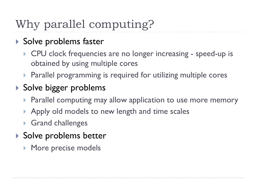# Why parallel computing?

- ▶ Solve problems faster
	- ▶ CPU clock frequencies are no longer increasing speed-up is obtained by using multiple cores
	- ▶ Parallel programming is required for utilizing multiple cores

#### ▶ Solve bigger problems

- **Parallel computing may allow application to use more memory**
- Apply old models to new length and time scales
- ▶ Grand challenges
- ▶ Solve problems better
	- **More precise models**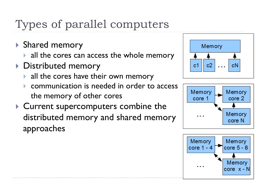# Types of parallel computers

- Shared memory
	- all the cores can access the whole memory
- ▶ Distributed memory
	- all the cores have their own memory
	- communication is needed in order to access the memory of other cores
- ▶ Current supercomputers combine the distributed memory and shared memory approaches





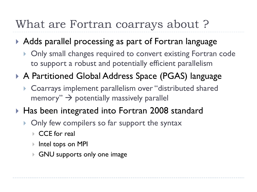#### What are Fortran coarrays about ?

#### Adds parallel processing as part of Fortran language

- **Only small changes required to convert existing Fortran code** to support a robust and potentially efficient parallelism
- ▶ A Partitioned Global Address Space (PGAS) language
	- Coarrays implement parallelism over "distributed shared memory"  $\rightarrow$  potentially massively parallel
- ▶ Has been integrated into Fortran 2008 standard
	- **Only few compilers so far support the syntax** 
		- CCE for real
		- **▶ Intel tops on MPI**
		- GNU supports only one image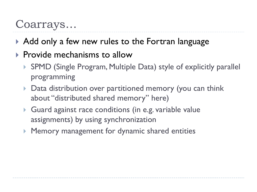#### Coarrays…

- Add only a few new rules to the Fortran language
- $\triangleright$  Provide mechanisms to allow
	- ▶ SPMD (Single Program, Multiple Data) style of explicitly parallel programming
	- ▶ Data distribution over partitioned memory (you can think about "distributed shared memory" here)
	- Guard against race conditions (in e.g. variable value assignments) by using synchronization
	- Memory management for dynamic shared entities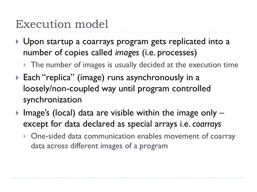#### Execution model

- ▶ Upon startup a coarrays program gets replicated into a number of copies called *images* (i.e. processes)
	- The number of images is usually decided at the execution time
- ▶ Each "replica" (image) runs asynchronously in a loosely/non-coupled way until program controlled synchronization
- Image's (local) data are visible within the image only  $$ except for data declared as special arrays i.e. *coarrays*
	- **One-sided data communication enables movement of coarray** data across different images of a program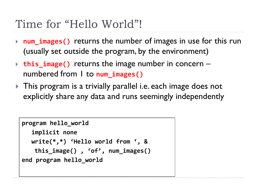## Time for "Hello World"!

- **num\_images()** returns the number of images in use for this run (usually set outside the program, by the environment)
- **this\_image()** returns the image number in concern numbered from 1 to **num\_images()**
- **This program is a trivially parallel i.e. each image does not** explicitly share any data and runs seemingly independently

```
program hello_world
  implicit none
  write(*,*) 'Hello world from ', &
   this_image() , 'of', num_images()
end program hello_world
```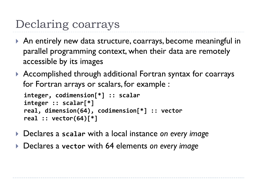## Declaring coarrays

- An entirely new data structure, coarrays, become meaningful in parallel programming context, when their data are remotely accessible by its images
- Accomplished through additional Fortran syntax for coarrays for Fortran arrays or scalars, for example :

```
integer, codimension[*] :: scalar
integer :: scalar[*]
real, dimension(64), codimension[*] :: vector
real :: vector(64)[*]
```
- Declares a **scalar** with a local instance *on every image*
- Declares a **vector** with 64 elements *on every image*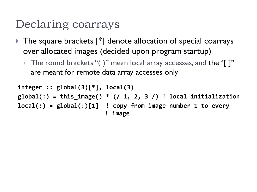#### Declaring coarrays

- The square brackets [\*] denote allocation of special coarrays over allocated images (decided upon program startup)
	- ▶ The round brackets "( )" mean local array accesses, and the "[ ]" are meant for remote data array accesses only

```
integer :: global(3)[*], local(3)
global(:) = this_image() * (/ 1, 2, 3 /) ! local initialization
local(:) = global(:)[1] ! copy from image number 1 to every
                          ! image
```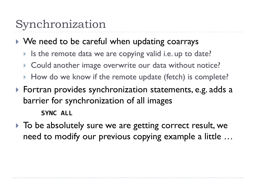### Synchronization

#### ▶ We need to be careful when updating coarrays

- Is the remote data we are copying valid i.e. up to date?
- ▶ Could another image overwrite our data without notice?
- How do we know if the remote update (fetch) is complete?
- Fortran provides synchronization statements, e.g. adds a barrier for synchronization of all images **SYNC ALL**
- $\triangleright$  To be absolutely sure we are getting correct result, we need to modify our previous copying example a little …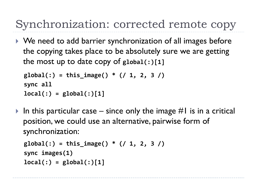## Synchronization: corrected remote copy

▶ We need to add barrier synchronization of all images before the copying takes place to be absolutely sure we are getting the most up to date copy of **global(:)[1]**

```
global(:) = this_image() * (/ 1, 2, 3 /)
sync all
local(:) = global(:)[1]
```
In this particular case – since only the image  $#I$  is in a critical position, we could use an alternative, pairwise form of synchronization:

```
global(:) = this_image() * (/ 1, 2, 3 /)
sync images(1)
local(:) = global(:)[1]
```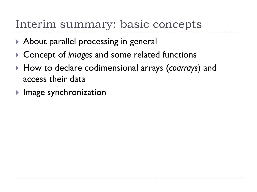### Interim summary: basic concepts

- ▶ About parallel processing in general
- **▶ Concept of** *images* and some related functions
- How to declare codimensional arrays (*coarrays*) and access their data
- $\blacktriangleright$  Image synchronization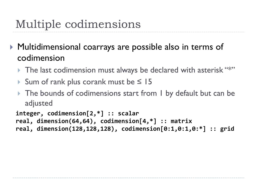- Multidimensional coarrays are possible also in terms of codimension
	- The last codimension must always be declared with asterisk "\*"
	- Sum of rank plus corank must be  $\leq 15$
	- ▶ The bounds of codimensions start from I by default but can be adjusted

```
integer, codimension[2,*] :: scalar
real, dimension(64,64), codimension[4,*] :: matrix
real, dimension(128,128,128), codimension[0:1,0:1,0:*] :: grid
```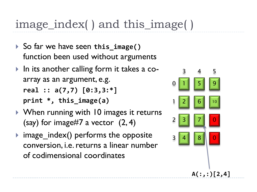### image\_index( ) and this\_image( )

- ▶ So far we have seen this\_image() function been used without arguments
- ▶ In its another calling form it takes a coarray as an argument, e.g. **real :: a(7,7) [0:3,3:\*] print \*, this\_image(a)**
- ▶ When running with 10 images it returns (say) for image#7 a vector  $(2, 4)$
- $\triangleright$  image\_index() performs the opposite conversion, i.e. returns a linear number of codimensional coordinates

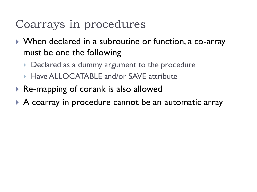### Coarrays in procedures

- ▶ When declared in a subroutine or function, a co-array must be one the following
	- Declared as a dummy argument to the procedure
	- ▶ Have ALLOCATABLE and/or SAVE attribute
- ▶ Re-mapping of corank is also allowed
- A coarray in procedure cannot be an automatic array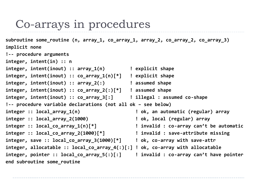#### Co-arrays in procedures

**subroutine some\_routine (n, array\_1, co\_array\_1, array\_2, co\_array\_2, co\_array\_3) implicit none !-- procedure arguments integer, intent(in) :: n integer, intent(inout) :: array\_1(n) ! explicit shape integer, intent(inout) :: co\_array\_1(n)[\*] ! explicit shape integer, intent(inout) :: array\_2(:) ! assumed shape integer, intent(inout) :: co\_array\_2(:)[\*] ! assumed shape integer, intent(inout) :: co\_array\_3[:] ! illegal : assumed co-shape !-- procedure variable declarations (not all ok – see below) integer :: local\_array\_1(n) ! ok, an automatic (regular) array integer :: local\_array\_2(1000) ! ok, local (regular) array integer :: local\_co\_array\_1(n)[\*] ! invalid : co-array can't be automatic integer :: local\_co\_array\_2(1000)[\*] ! invalid : save-attribute missing integer, save :: local\_co\_array\_3(1000)[\*] ! ok, co-array with save-attr integer, allocatable :: local\_co\_array\_4(:)[:] ! ok, co-array with allocatable integer, pointer :: local\_co\_array\_5(:)[:] ! invalid : co-array can't have pointer end subroutine some\_routine**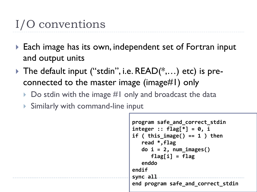# I/O conventions

- ▶ Each image has its own, independent set of Fortran input and output units
- The default input ("stdin", i.e.  $READ(*,...)$  etc) is preconnected to the master image (image#1) only
	- $\triangleright$  Do stdin with the image #1 only and broadcast the data
	- Similarly with command-line input

```
program safe_and_correct_stdin
integer :: flag[*] = 0, i
if ( this_image() == 1 ) then
    read *,flag
    do i = 2, num_images()
       flag[i] = flag
    enddo
endif
sync all
end program safe_and_correct_stdin
```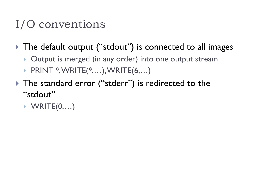# I/O conventions

▶ The default output ("stdout") is connected to all images

- ▶ Output is merged (in any order) into one output stream
- ▶ PRINT \*, WRITE(\*,...), WRITE(6,...)
- ▶ The standard error ("stderr") is redirected to the "stdout"
	- $\blacktriangleright$  WRITE $(0,...)$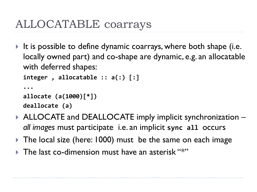## ALLOCATABLE coarrays

It is possible to define dynamic coarrays, where both shape (i.e. locally owned part) and co-shape are dynamic, e.g. an allocatable with deferred shapes:

```
integer , allocatable :: a(:) [:]
```

```
...
allocate (a(1000)[*])
deallocate (a)
```
- ▶ ALLOCATE and DEALLOCATE imply implicit synchronization *all images* must participate i.e. an implicit **sync all** occurs
- ▶ The local size (here: 1000) must be the same on each image
- $\triangleright$  The last co-dimension must have an asterisk "\*"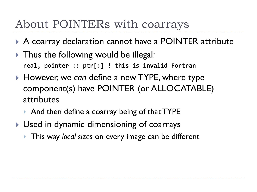#### About POINTERs with coarrays

- ▶ A coarray declaration cannot have a POINTER attribute
- ▶ Thus the following would be illegal: **real, pointer :: ptr[:] ! this is invalid Fortran**
- ▶ However, we can define a new TYPE, where type component(s) have POINTER (or ALLOCATABLE) attributes
	- ▶ And then define a coarray being of that TYPE
- Used in dynamic dimensioning of coarrays
	- **This way local sizes on every image can be different**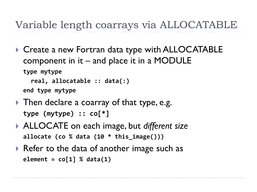#### Variable length coarrays via ALLOCATABLE

▶ Create a new Fortran data type with ALLOCATABLE component in  $it$  – and place it in a MODULE **type mytype real, allocatable :: data(:)** 

**end type mytype**

- ▶ Then declare a coarray of that type, e.g. **type (mytype) :: co[\*]**
- ALLOCATE on each image, but *different size* **allocate (co % data (10 \* this\_image()))**
- ▶ Refer to the data of another image such as **element = co[1] % data(1)**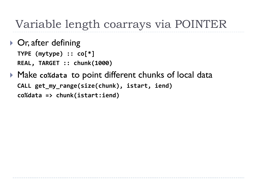#### Variable length coarrays via POINTER

- ▶ Or, after defining **TYPE (mytype) :: co[\*] REAL, TARGET :: chunk(1000)**
- Make **co%data** to point different chunks of local data **CALL get\_my\_range(size(chunk), istart, iend) co%data => chunk(istart:iend)**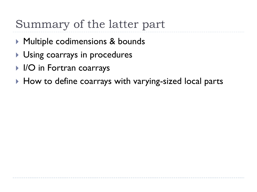## Summary of the latter part

- ▶ Multiple codimensions & bounds
- **Using coarrays in procedures**
- IO in Fortran coarrays
- ▶ How to define coarrays with varying-sized local parts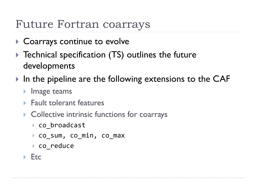#### Future Fortran coarrays

- ▶ Coarrays continue to evolve
- ▶ Technical specification (TS) outlines the future developments
- In the pipeline are the following extensions to the CAF
	- $\blacktriangleright$  Image teams
	- ▶ Fault tolerant features
	- **Collective intrinsic functions for coarrays** 
		- co\_broadcast
		- ▶ co sum, co min, co max
		- ▶ co\_reduce
	- $\blacktriangleright$  Etc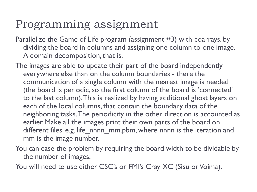### Programming assignment

- Parallelize the Game of Life program (assignment #3) with coarrays. by dividing the board in columns and assigning one column to one image. A domain decomposition, that is.
- The images are able to update their part of the board independently everywhere else than on the column boundaries - there the communication of a single column with the nearest image is needed (the board is periodic, so the first column of the board is 'connected' to the last column). This is realized by having additional ghost layers on each of the local columns, that contain the boundary data of the neighboring tasks. The periodicity in the other direction is accounted as earlier. Make all the images print their own parts of the board on different files, e.g. life nnnn mm.pbm, where nnnn is the iteration and mm is the image number.
- You can ease the problem by requiring the board width to be dividable by the number of images.
- You will need to use either CSC's or FMI's Cray XC (Sisu or Voima).